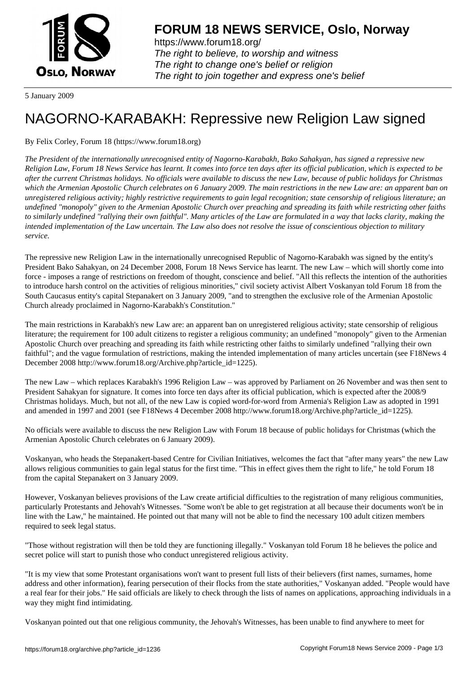

https://www.forum18.org/ The right to believe, to worship and witness The right to change one's belief or religion [The right to join together a](https://www.forum18.org/)nd express one's belief

5 January 2009

## [NAGORNO-KA](https://www.forum18.org)RABAKH: Repressive new Religion Law signed

By Felix Corley, Forum 18 (https://www.forum18.org)

*The President of the internationally unrecognised entity of Nagorno-Karabakh, Bako Sahakyan, has signed a repressive new Religion Law, Forum 18 News Service has learnt. It comes into force ten days after its official publication, which is expected to be after the current Christmas holidays. No officials were available to discuss the new Law, because of public holidays for Christmas which the Armenian Apostolic Church celebrates on 6 January 2009. The main restrictions in the new Law are: an apparent ban on unregistered religious activity; highly restrictive requirements to gain legal recognition; state censorship of religious literature; an undefined "monopoly" given to the Armenian Apostolic Church over preaching and spreading its faith while restricting other faiths to similarly undefined "rallying their own faithful". Many articles of the Law are formulated in a way that lacks clarity, making the intended implementation of the Law uncertain. The Law also does not resolve the issue of conscientious objection to military service.*

The repressive new Religion Law in the internationally unrecognised Republic of Nagorno-Karabakh was signed by the entity's President Bako Sahakyan, on 24 December 2008, Forum 18 News Service has learnt. The new Law – which will shortly come into force - imposes a range of restrictions on freedom of thought, conscience and belief. "All this reflects the intention of the authorities to introduce harsh control on the activities of religious minorities," civil society activist Albert Voskanyan told Forum 18 from the South Caucasus entity's capital Stepanakert on 3 January 2009, "and to strengthen the exclusive role of the Armenian Apostolic Church already proclaimed in Nagorno-Karabakh's Constitution."

The main restrictions in Karabakh's new Law are: an apparent ban on unregistered religious activity; state censorship of religious literature; the requirement for 100 adult citizens to register a religious community; an undefined "monopoly" given to the Armenian Apostolic Church over preaching and spreading its faith while restricting other faiths to similarly undefined "rallying their own faithful"; and the vague formulation of restrictions, making the intended implementation of many articles uncertain (see F18News 4 December 2008 http://www.forum18.org/Archive.php?article\_id=1225).

The new Law – which replaces Karabakh's 1996 Religion Law – was approved by Parliament on 26 November and was then sent to President Sahakyan for signature. It comes into force ten days after its official publication, which is expected after the 2008/9 Christmas holidays. Much, but not all, of the new Law is copied word-for-word from Armenia's Religion Law as adopted in 1991 and amended in 1997 and 2001 (see F18News 4 December 2008 http://www.forum18.org/Archive.php?article\_id=1225).

No officials were available to discuss the new Religion Law with Forum 18 because of public holidays for Christmas (which the Armenian Apostolic Church celebrates on 6 January 2009).

Voskanyan, who heads the Stepanakert-based Centre for Civilian Initiatives, welcomes the fact that "after many years" the new Law allows religious communities to gain legal status for the first time. "This in effect gives them the right to life," he told Forum 18 from the capital Stepanakert on 3 January 2009.

However, Voskanyan believes provisions of the Law create artificial difficulties to the registration of many religious communities, particularly Protestants and Jehovah's Witnesses. "Some won't be able to get registration at all because their documents won't be in line with the Law," he maintained. He pointed out that many will not be able to find the necessary 100 adult citizen members required to seek legal status.

"Those without registration will then be told they are functioning illegally." Voskanyan told Forum 18 he believes the police and secret police will start to punish those who conduct unregistered religious activity.

"It is my view that some Protestant organisations won't want to present full lists of their believers (first names, surnames, home address and other information), fearing persecution of their flocks from the state authorities," Voskanyan added. "People would have a real fear for their jobs." He said officials are likely to check through the lists of names on applications, approaching individuals in a way they might find intimidating.

Voskanyan pointed out that one religious community, the Jehovah's Witnesses, has been unable to find anywhere to meet for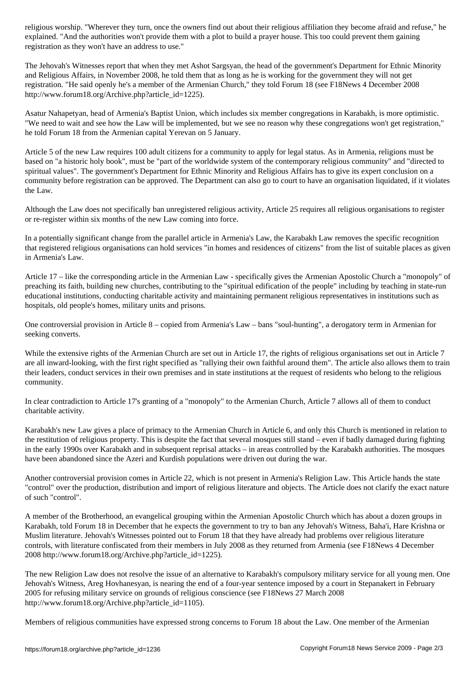explained. "And the authorities won't provide them with a plot to build a prayer house. This too could prevent them gaining registration as they won't have an address to use."

The Jehovah's Witnesses report that when they met Ashot Sargsyan, the head of the government's Department for Ethnic Minority and Religious Affairs, in November 2008, he told them that as long as he is working for the government they will not get registration. "He said openly he's a member of the Armenian Church," they told Forum 18 (see F18News 4 December 2008 http://www.forum18.org/Archive.php?article\_id=1225).

Asatur Nahapetyan, head of Armenia's Baptist Union, which includes six member congregations in Karabakh, is more optimistic. "We need to wait and see how the Law will be implemented, but we see no reason why these congregations won't get registration," he told Forum 18 from the Armenian capital Yerevan on 5 January.

Article 5 of the new Law requires 100 adult citizens for a community to apply for legal status. As in Armenia, religions must be based on "a historic holy book", must be "part of the worldwide system of the contemporary religious community" and "directed to spiritual values". The government's Department for Ethnic Minority and Religious Affairs has to give its expert conclusion on a community before registration can be approved. The Department can also go to court to have an organisation liquidated, if it violates the Law.

Although the Law does not specifically ban unregistered religious activity, Article 25 requires all religious organisations to register or re-register within six months of the new Law coming into force.

In a potentially significant change from the parallel article in Armenia's Law, the Karabakh Law removes the specific recognition that registered religious organisations can hold services "in homes and residences of citizens" from the list of suitable places as given in Armenia's Law.

Article 17 – like the corresponding article in the Armenian Law - specifically gives the Armenian Apostolic Church a "monopoly" of preaching its faith, building new churches, contributing to the "spiritual edification of the people" including by teaching in state-run educational institutions, conducting charitable activity and maintaining permanent religious representatives in institutions such as hospitals, old people's homes, military units and prisons.

One controversial provision in Article 8 – copied from Armenia's Law – bans "soul-hunting", a derogatory term in Armenian for seeking converts.

While the extensive rights of the Armenian Church are set out in Article 17, the rights of religious organisations set out in Article 7 are all inward-looking, with the first right specified as "rallying their own faithful around them". The article also allows them to train their leaders, conduct services in their own premises and in state institutions at the request of residents who belong to the religious community.

In clear contradiction to Article 17's granting of a "monopoly" to the Armenian Church, Article 7 allows all of them to conduct charitable activity.

Karabakh's new Law gives a place of primacy to the Armenian Church in Article 6, and only this Church is mentioned in relation to the restitution of religious property. This is despite the fact that several mosques still stand – even if badly damaged during fighting in the early 1990s over Karabakh and in subsequent reprisal attacks – in areas controlled by the Karabakh authorities. The mosques have been abandoned since the Azeri and Kurdish populations were driven out during the war.

Another controversial provision comes in Article 22, which is not present in Armenia's Religion Law. This Article hands the state "control" over the production, distribution and import of religious literature and objects. The Article does not clarify the exact nature of such "control".

A member of the Brotherhood, an evangelical grouping within the Armenian Apostolic Church which has about a dozen groups in Karabakh, told Forum 18 in December that he expects the government to try to ban any Jehovah's Witness, Baha'i, Hare Krishna or Muslim literature. Jehovah's Witnesses pointed out to Forum 18 that they have already had problems over religious literature controls, with literature confiscated from their members in July 2008 as they returned from Armenia (see F18News 4 December 2008 http://www.forum18.org/Archive.php?article\_id=1225).

The new Religion Law does not resolve the issue of an alternative to Karabakh's compulsory military service for all young men. One Jehovah's Witness, Areg Hovhanesyan, is nearing the end of a four-year sentence imposed by a court in Stepanakert in February 2005 for refusing military service on grounds of religious conscience (see F18News 27 March 2008 http://www.forum18.org/Archive.php?article\_id=1105).

Members of religious communities have expressed strong concerns to Forum 18 about the Law. One member of the Armenian